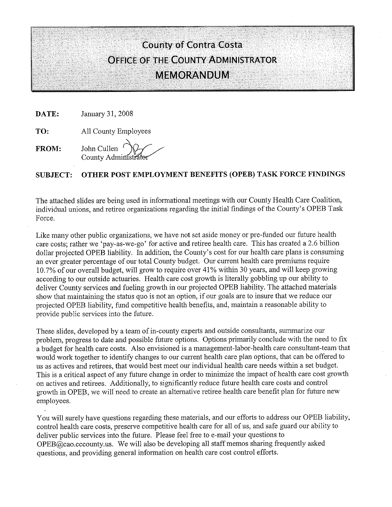#### **County of Contra Costa OFFICE OF THE COUNTY ADMINISTRATOR MEMORANDUM**

January 31, 2008 DATE:

All County Employees TO:

John Cullen FROM: County Administra

#### OTHER POST EMPLOYMENT BENEFITS (OPEB) TASK FORCE FINDINGS **SUBJECT:**

The attached slides are being used in informational meetings with our County Health Care Coalition, individual unions, and retiree organizations regarding the initial findings of the County's OPEB Task Force.

Like many other public organizations, we have not set aside money or pre-funded our future health care costs; rather we 'pay-as-we-go' for active and retiree health care. This has created a 2.6 billion dollar projected OPEB liability. In addition, the County's cost for our health care plans is consuming an ever greater percentage of our total County budget. Our current health care premiums require 10.7% of our overall budget, will grow to require over 41% within 30 years, and will keep growing according to our outside actuaries. Health care cost growth is literally gobbling up our ability to deliver County services and fueling growth in our projected OPEB liability. The attached materials show that maintaining the status quo is not an option, if our goals are to insure that we reduce our projected OPEB liability, fund competitive health benefits, and, maintain a reasonable ability to provide public services into the future.

These slides, developed by a team of in-county experts and outside consultants, summarize our problem, progress to date and possible future options. Options primarily conclude with the need to fix a budget for health care costs. Also envisioned is a management-labor-health care consultant-team that would work together to identify changes to our current health care plan options, that can be offered to us as actives and retirees, that would best meet our individual health care needs within a set budget. This is a critical aspect of any future change in order to minimize the impact of health care cost growth on actives and retirees. Additionally, to significantly reduce future health care costs and control growth in OPEB, we will need to create an alternative retiree health care benefit plan for future new employees.

You will surely have questions regarding these materials, and our efforts to address our OPEB liability, control health care costs, preserve competitive health care for all of us, and safe guard our ability to deliver public services into the future. Please feel free to e-mail your questions to OPEB@cao.cccounty.us. We will also be developing all staff memos sharing frequently asked questions, and providing general information on health care cost control efforts.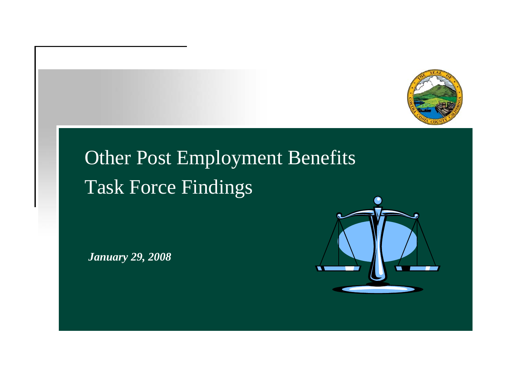

## Other Post Employment Benefits Task Force Findings

*January 29, 2008*

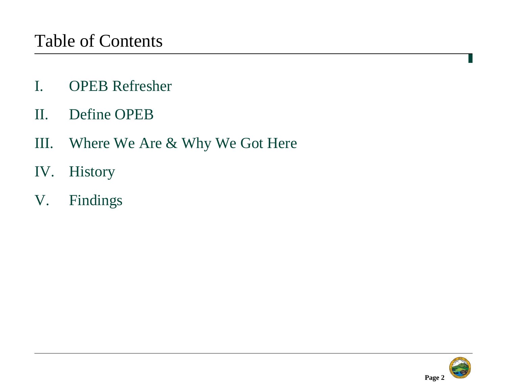- I. OPEB Refresher
- II. Define OPEB
- III. Where We Are & Why We Got Here
- IV. History
- V. Findings

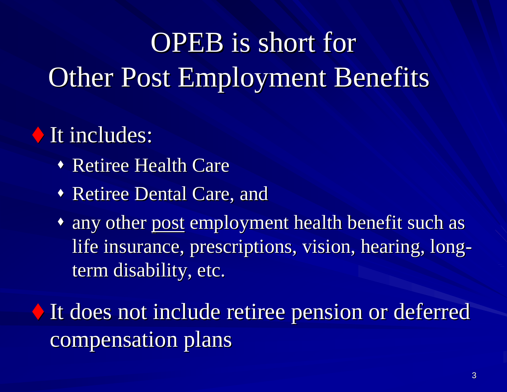# OPEB is short for **Other Post Employment Benefits**

## It includes: It includes:

- **\* Retiree Health Care**
- **Retiree Dental Care, and**
- $\bullet$  any other post employment health benefit such as life insurance, prescriptions, vision, hearing, long term disability, etc.

 It does not include retiree pension or deferred It does not include retiree pension or deferred compensation plans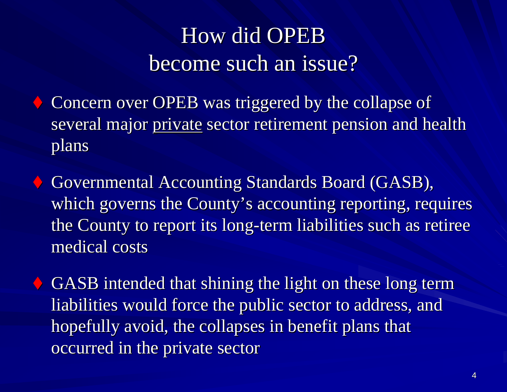## How did OPEB become such an issue?

 Concern over OPEB was triggered by the collapse of Concern over OPEB was triggered by the collapse of several major private sector retirement pension and health plans

 Governmental Accounting Standards Board (GASB), Governmental Accounting Standards Board (GASB), which governs the County's accounting reporting, requires the County to report its long-term liabilities such as retiree medical costs medical costs

GASB intended that shining the light on these long term liabilities would force the public sector to address, and liabilities would force the public sector to address, and hopefully avoid, the collapses in benefit plans that occurred in the private sector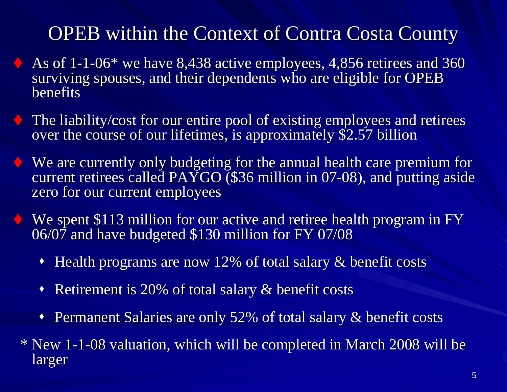### OPEB within the Context of Contra Costa County

- As of 1-1-06\* we have 8,438 active employees, 4,856 retirees and 360 surviving spouses, and their dependents who are eligible for OPEB **benefits**
- The liability/cost for our entire pool of existing employees and retirees over the course of our lifetimes, is approximately \$2.57 billion
- $\blacklozenge$  We are currently only budgeting for the annual health care premium for current retirees called PAYGO (\$36 million in 07-08), and putting aside zero for our current employees
- We spent \$113 million for our active and retiree health program in FY 06/07 and have budgeted \$130 million for FY 07/08
	- $\blacklozenge$ Health programs are now 12% of total salary  $\&$  benefit costs
	- $\blacklozenge$ Retirement is 20% of total salary  $\&$  benefit costs
	- $\blacklozenge$ Permanent Salaries are only 52% of total salary & benefit costs
- \* New 1-1-08 valuation, which will be completed in March 2008 will be larger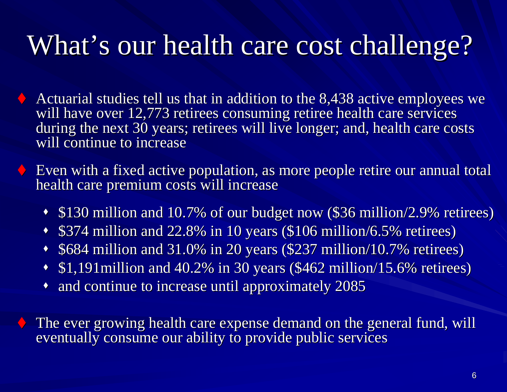# What's our health care cost challenge?

- Actuarial studies tell us that in addition to the 8,438 active employees we will have over 12,773 retirees consuming retiree health care services during the next 30 years; retirees will live longer; and, health care costs will continue to increase
- Even with a fixed active population, as more people retire our annual total  $\bullet$ health care premium costs will increase
	- \$130 million and 10.7% of our budget now (\$36 million/2.9% retirees)
	- $\blacklozenge$ \$374 million and 22.8% in 10 years (\$106 million/6.5% retirees)
	- \$684 million and 31.0% in 20 years (\$237 million/10.7% retirees) \$684 million and 31.0% in 20 years (\$237 million/10.7% retirees)
	- $\cdot$  \$1,191 million and 40.2% in 30 years (\$462 million/15.6% retirees)
	- $\bullet$  and continue to increase until approximately 2085

 $\blacklozenge$  The ever growing health care expense demand on the general fund, will eventually consume our ability to provide public services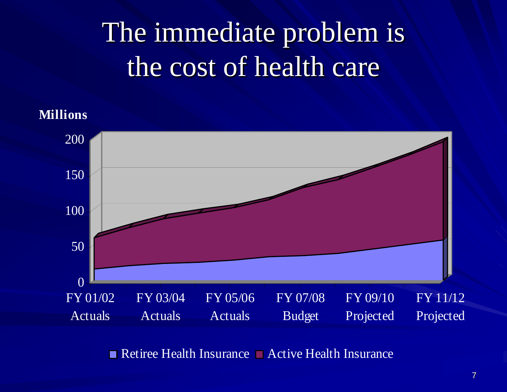# The immediate problem is the cost of health care

**Millions**



Retiree Health Insurance  $\Box$  Active Health Insurance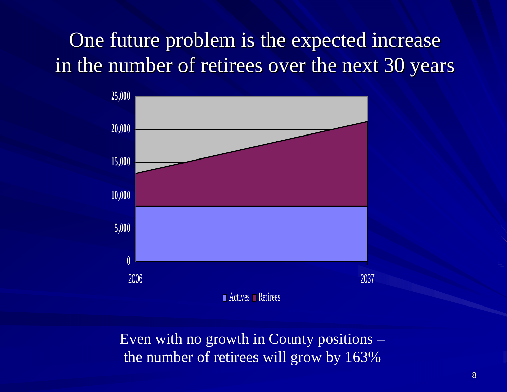## One future problem is the expected increase in the number of retirees over the next 30 years



Even with no growth in County positions – the number of retirees will grow by 163%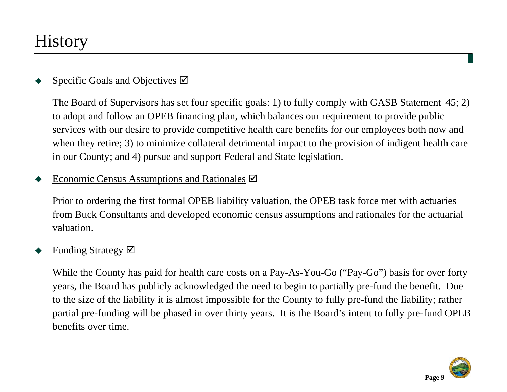### **History**

#### ♦ Specific Goals and Objectives  $\boxtimes$

The Board of Supervisors has set four specific goals: 1) to fully comply with GASB Statement 45; 2) to adopt and follow an OPEB financing plan, which balances our requirement to provide public services with our desire to provide competitive health care benefits for our employees both now and when they retire; 3) to minimize collateral detrimental impact to the provision of indigent health care in our County; and 4) pursue and support Federal and State legislation.

#### ♦ Economic Census Assumptions and Rationales  $\boxtimes$

Prior to ordering the first formal OPEB liability valuation, the OPEB task force met with actuaries from Buck Consultants and developed economic census assumptions and rationales for the actuarial valuation.

#### ♦ Funding Strategy  $\boxtimes$

While the County has paid for health care costs on a Pay-As-You-Go ("Pay-Go") basis for over forty years, the Board has publicly acknowledged the need to begin to partially pre-fund the benefit. Due to the size of the liability it is almost impossible for the County to fully pre-fund the liability; rather partial pre-funding will be phased in over thirty years. It is the Board's intent to fully pre-fund OPEB benefits over time.

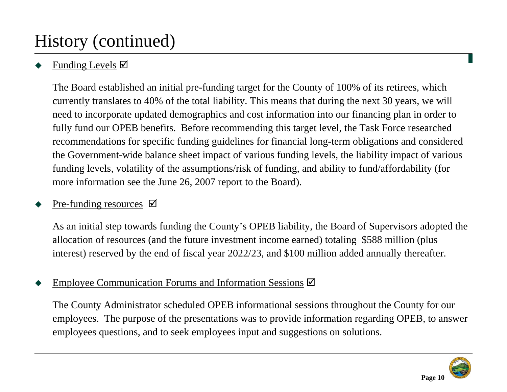### History (continued)

#### ♦ Funding Levels  $\boxtimes$

The Board established an initial pre-funding target for the County of 100% of its retirees, which currently translates to 40% of the total liability. This means that during the next 30 years, we will need to incorporate updated demographics and cost information into our financing plan in order to fully fund our OPEB benefits. Before recommending this target level, the Task Force researched recommendations for specific funding guidelines for financial long-term obligations and considered the Government-wide balance sheet impact of various funding levels, the liability impact of various funding levels, volatility of the assumptions/risk of funding, and ability to fund/affordability (for more information see the June 26, 2007 report to the Board).

#### ♦ Pre-funding resources  $\boxtimes$

As an initial step towards funding the County's OPEB liability, the Board of Supervisors adopted the allocation of resources (and the future investment income earned) totaling \$588 million (plus interest) reserved by the end of fiscal year 2022/23, and \$100 million added annually thereafter.

#### ♦ Employee Communication Forums and Information Sessions  $\boxtimes$

The County Administrator scheduled OPEB informational sessions throughout the County for our employees. The purpose of the presentations was to provide information regarding OPEB, to answer employees questions, and to seek employees input and suggestions on solutions.

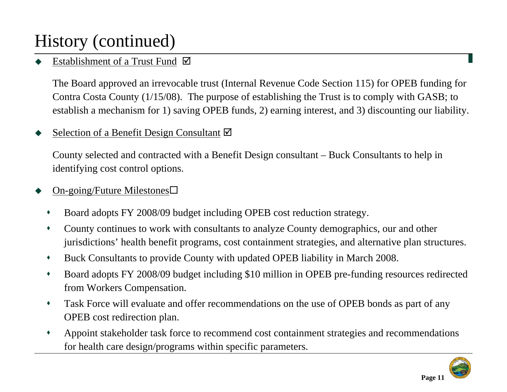### History (continued)

#### ♦ Establishment of a Trust Fund  $\boxtimes$

The Board approved an irrevocable trust (Internal Revenue Code Section 115) for OPEB funding for Contra Costa County (1/15/08). The purpose of establishing the Trust is to comply with GASB; to establish a mechanism for 1) saving OPEB funds, 2) earning interest, and 3) discounting our liability.

#### ♦ Selection of a Benefit Design Consultant  $\boxtimes$

County selected and contracted with a Benefit Design consultant – Buck Consultants to help in identifying cost control options.

#### ♦ On-going/Future Milestones

- $\blacklozenge$ Board adopts FY 2008/09 budget including OPEB cost reduction strategy.
- $\bullet$  County continues to work with consultants to analyze County demographics, our and other jurisdictions' health benefit programs, cost containment strategies, and alternative plan structures.
- $\blacklozenge$ Buck Consultants to provide County with updated OPEB liability in March 2008.
- $\blacklozenge$  Board adopts FY 2008/09 budget including \$10 million in OPEB pre-funding resources redirected from Workers Compensation.
- $\blacklozenge$  Task Force will evaluate and offer recommendations on the use of OPEB bonds as part of any OPEB cost redirection plan.
- $\blacklozenge$  Appoint stakeholder task force to recommend cost containment strategies and recommendations for health care design/programs within specific parameters.

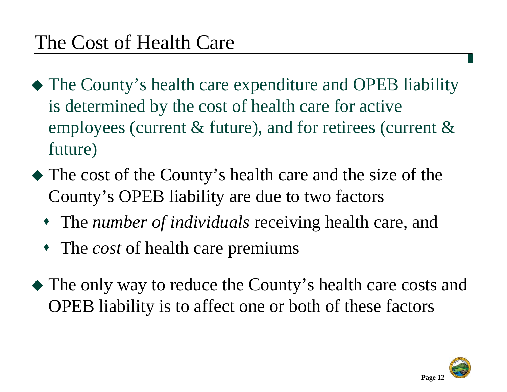- The County's health care expenditure and OPEB liability is determined by the cost of health care for active employees (current & future), and for retirees (current & future)
- The cost of the County's health care and the size of the County's OPEB liability are due to two factors
	- The *number of individuals* receiving health care, and
	- The *cost* of health care premiums
- The only way to reduce the County's health care costs and OPEB liability is to affect one or both of these factors

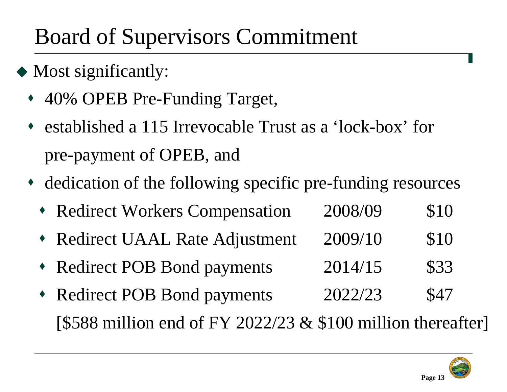## Board of Supervisors Commitment

- Most significantly:
	- ♦ 40% OPEB Pre-Funding Target,
	- ♦ established a 115 Irrevocable Trust as a 'lock-box' for pre-payment of OPEB, and
	- dedication of the following specific pre-funding resources
		- Redirect Workers Compensation 2008/09 \$10
		- ♦ Redirect UAAL Rate Adjustment 2009/10 \$10
		- ♦ Redirect POB Bond payments 2014/15 \$33
		- ♦ Redirect POB Bond payments 2022/23 \$47 [\$588 million end of FY 2022/23  $&$  \$100 million thereafter]

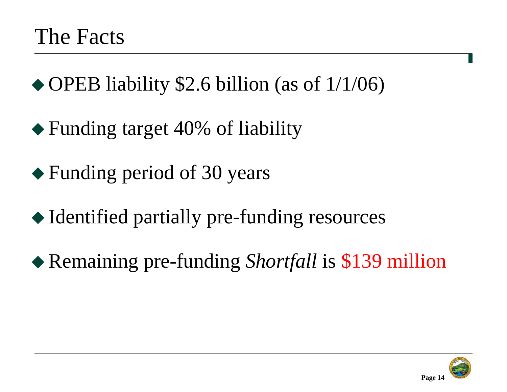◆ OPEB liability \$2.6 billion (as of 1/1/06)

- ◆ Funding target 40% of liability
- Funding period of 30 years
- ◆ Identified partially pre-funding resources
- Remaining pre-funding *Shortfall* is \$139 million

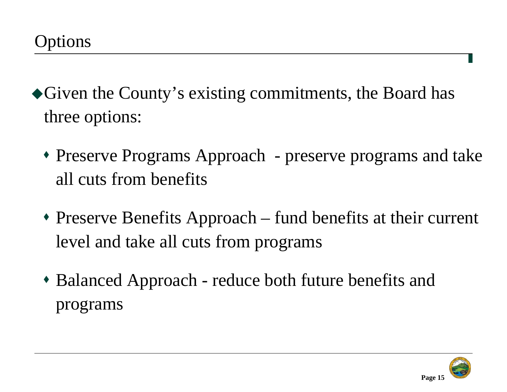- Given the County's existing commitments, the Board has three options:
	- Preserve Programs Approach preserve programs and take all cuts from benefits
	- Preserve Benefits Approach fund benefits at their current level and take all cuts from programs
	- Balanced Approach reduce both future benefits and programs

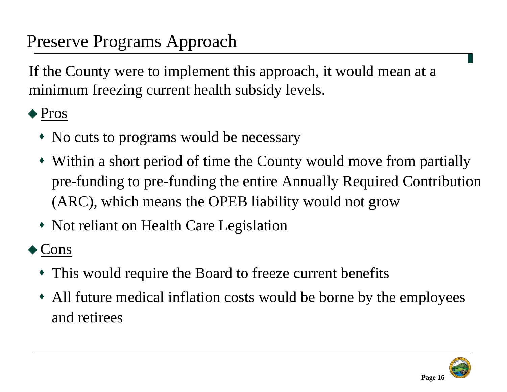### Preserve Programs Approach

If the County were to implement this approach, it would mean at a minimum freezing current health subsidy levels.

#### ◆ Pros

- No cuts to programs would be necessary
- Within a short period of time the County would move from partially pre-funding to pre-funding the entire Annually Required Contribution (ARC), which means the OPEB liability would not grow
- Not reliant on Health Care Legislation

#### ◆ Cons

- This would require the Board to freeze current benefits
- All future medical inflation costs would be borne by the employees and retirees

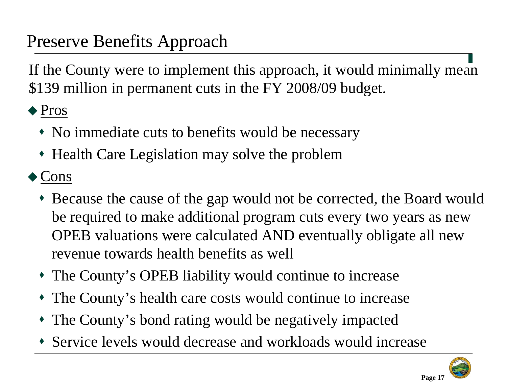### Preserve Benefits Approach

If the County were to implement this approach, it would minimally mean \$139 million in permanent cuts in the FY 2008/09 budget.

◆ Pros

- No immediate cuts to benefits would be necessary
- Health Care Legislation may solve the problem

◆ Cons

- Because the cause of the gap would not be corrected, the Board would be required to make additional program cuts every two years as new OPEB valuations were calculated AND eventually obligate all new revenue towards health benefits as well
- The County's OPEB liability would continue to increase
- The County's health care costs would continue to increase
- The County's bond rating would be negatively impacted
- Service levels would decrease and workloads would increase



**Page 17**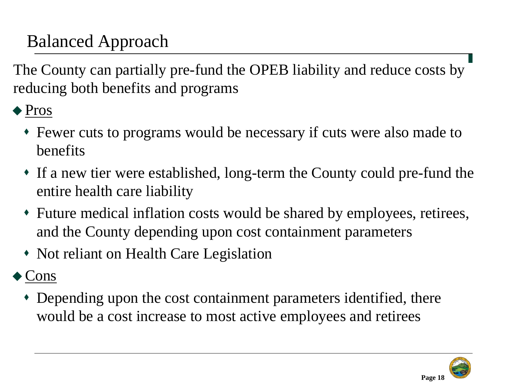## Balanced Approach

The County can partially pre-fund the OPEB liability and reduce costs by reducing both benefits and programs

◆ Pros

- Fewer cuts to programs would be necessary if cuts were also made to benefits
- If a new tier were established, long-term the County could pre-fund the entire health care liability
- Future medical inflation costs would be shared by employees, retirees, and the County depending upon cost containment parameters
- Not reliant on Health Care Legislation

### ◆ Cons

 Depending upon the cost containment parameters identified, there would be a cost increase to most active employees and retirees

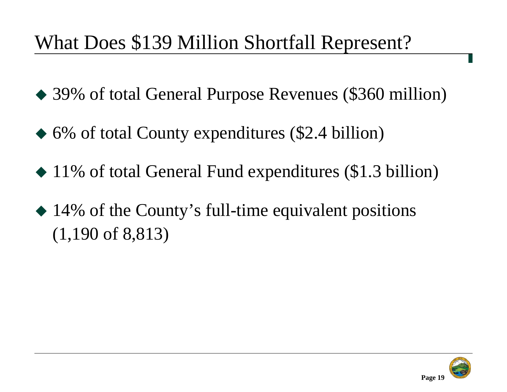## What Does \$139 Million Shortfall Represent?

- 39% of total General Purpose Revenues (\$360 million)
- ◆ 6% of total County expenditures (\$2.4 billion)
- ◆ 11% of total General Fund expenditures (\$1.3 billion)
- 14% of the County's full-time equivalent positions (1,190 of 8,813)

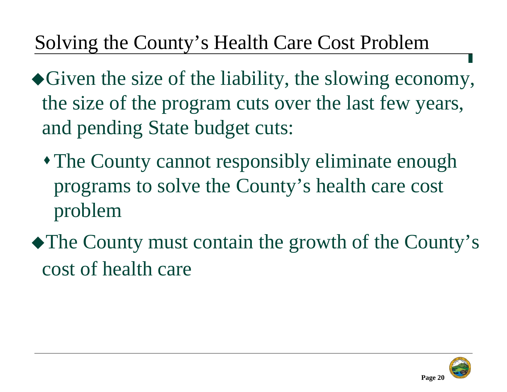## Solving the County's Health Care Cost Problem

- Given the size of the liability, the slowing economy, the size of the program cuts over the last few years, and pending State budget cuts:
	- The County cannot responsibly eliminate enough programs to solve the County's health care cost problem
- The County must contain the growth of the County's cost of health care

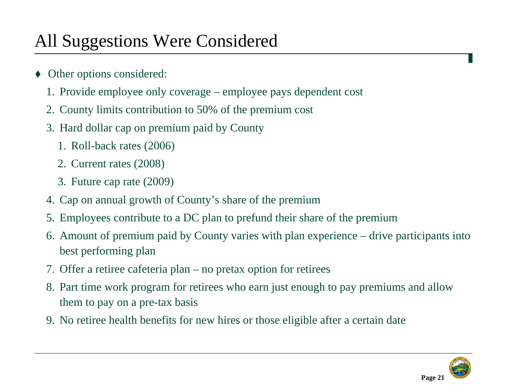### All Suggestions Were Considered

- ♦ Other options considered:
	- 1. Provide employee only coverage employee pays dependent cost
	- 2. County limits contribution to 50% of the premium cost
	- 3. Hard dollar cap on premium paid by County
		- 1. Roll-back rates (2006)
		- 2. Current rates (2008)
		- 3. Future cap rate (2009)
	- 4. Cap on annual growth of County's share of the premium
	- 5. Employees contribute to a DC plan to prefund their share of the premium
	- 6. Amount of premium paid by County varies with plan experience drive participants into best performing plan
	- 7. Offer a retiree cafeteria plan no pretax option for retirees
	- 8. Part time work program for retirees who earn just enough to pay premiums and allow them to pay on a pre-tax basis
	- 9. No retiree health benefits for new hires or those eligible after a certain date

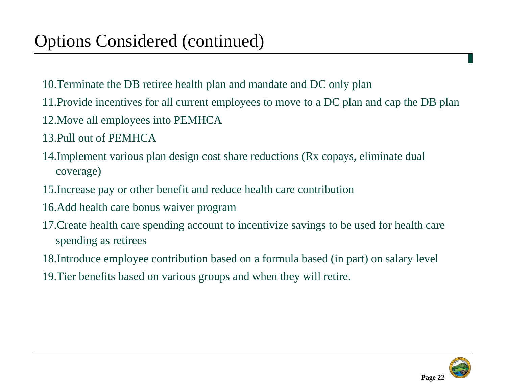- 10.Terminate the DB retiree health plan and mandate and DC only plan
- 11.Provide incentives for all current employees to move to a DC plan and cap the DB plan
- 12.Move all employees into PEMHCA
- 13.Pull out of PEMHCA
- 14.Implement various plan design cost share reductions (Rx copays, eliminate dual coverage)
- 15.Increase pay or other benefit and reduce health care contribution
- 16.Add health care bonus waiver program
- 17.Create health care spending account to incentivize savings to be used for health care spending as retirees
- 18.Introduce employee contribution based on a formula based (in part) on salary level
- 19.Tier benefits based on various groups and when they will retire.

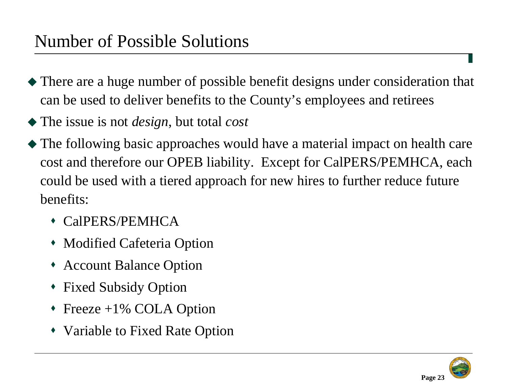- There are a huge number of possible benefit designs under consideration that can be used to deliver benefits to the County's employees and retirees
- The issue is not *design*, but total *cost*
- The following basic approaches would have a material impact on health care cost and therefore our OPEB liability. Except for CalPERS/PEMHCA, each could be used with a tiered approach for new hires to further reduce future benefits:
	- CalPERS/PEMHCA
	- Modified Cafeteria Option
	- Account Balance Option
	- Fixed Subsidy Option
	- Freeze +1% COLA Option
	- Variable to Fixed Rate Option

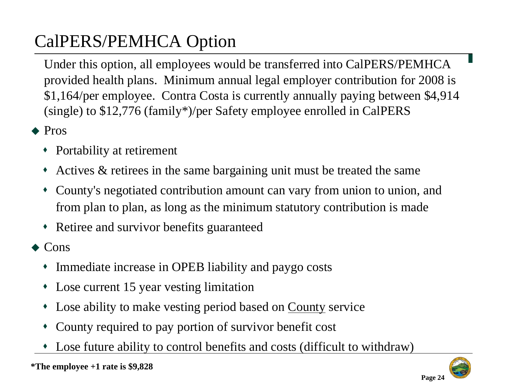## CalPERS/PEMHCA Option

Under this option, all employees would be transferred into CalPERS/PEMHCA provided health plans. Minimum annual legal employer contribution for 2008 is \$1,164/per employee. Contra Costa is currently annually paying between \$4,914 (single) to \$12,776 (family\*)/per Safety employee enrolled in CalPERS

- ◆ Pros
	- Portability at retirement
	- ۰ Actives & retirees in the same bargaining unit must be treated the same
	- ۰ County's negotiated contribution amount can vary from union to union, and from plan to plan, as long as the minimum statutory contribution is made
	- Retiree and survivor benefits guaranteed
- ◆ Cons
	- ۰ Immediate increase in OPEB liability and paygo costs
	- ۰ Lose current 15 year vesting limitation
	- ۰ Lose ability to make vesting period based on County service
	- ٠ County required to pay portion of survivor benefit cost
	- ٠ Lose future ability to control benefits and costs (difficult to withdraw)

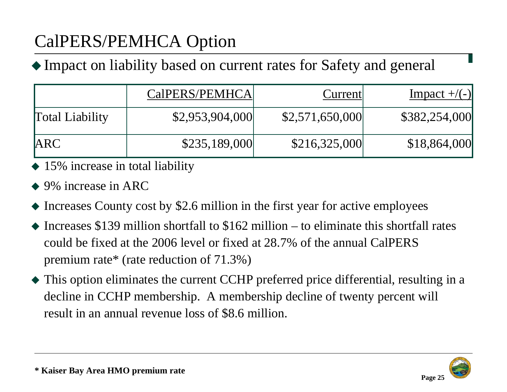## CalPERS/PEMHCA Option

Impact on liability based on current rates for Safety and general

|                        | CalPERS/PEMHCA  | Current         | $Impect +/(-)$ |
|------------------------|-----------------|-----------------|----------------|
| <b>Total Liability</b> | \$2,953,904,000 | \$2,571,650,000 | \$382,254,000  |
| <b>ARC</b>             | \$235,189,000   | \$216,325,000   | \$18,864,000   |

- 15% increase in total liability
- ◆ 9% increase in ARC
- Increases County cost by \$2.6 million in the first year for active employees
- $\triangle$  Increases \$139 million shortfall to \$162 million to eliminate this shortfall rates could be fixed at the 2006 level or fixed at 28.7% of the annual CalPERS premium rate\* (rate reduction of 71.3%)
- This option eliminates the current CCHP preferred price differential, resulting in a decline in CCHP membership. A membership decline of twenty percent will result in an annual revenue loss of \$8.6 million.

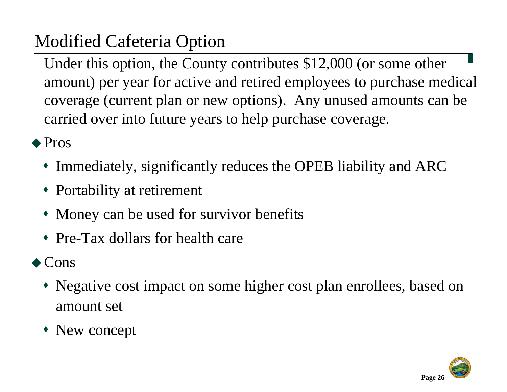## Modified Cafeteria Option

Under this option, the County contributes \$12,000 (or some other amount) per year for active and retired employees to purchase medical coverage (current plan or new options). Any unused amounts can be carried over into future years to help purchase coverage.

◆ Pros

- Immediately, significantly reduces the OPEB liability and ARC
- Portability at retirement
- Money can be used for survivor benefits
- Pre-Tax dollars for health care

#### $\triangle$  Cons

- Negative cost impact on some higher cost plan enrollees, based on amount set
- New concept

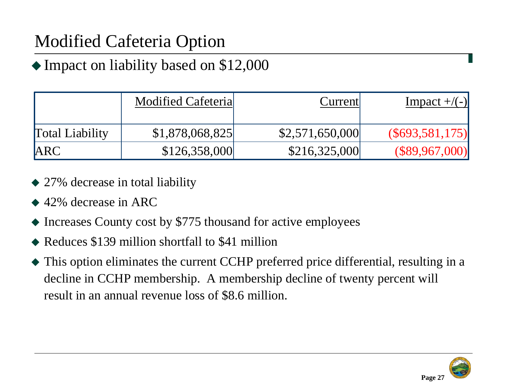## Modified Cafeteria Option

#### Impact on liability based on \$12,000

|                        | <b>Modified Cafeterial</b> | Current         | Impact $+/(-)$   |
|------------------------|----------------------------|-----------------|------------------|
| <b>Total Liability</b> | \$1,878,068,825            | \$2,571,650,000 | (S693, 581, 175) |
| <b>ARC</b>             | \$126,358,000              | \$216,325,000   | (\$89,967,000)   |

- 27% decrease in total liability
- ◆ 42% decrease in ARC
- Increases County cost by \$775 thousand for active employees
- Reduces \$139 million shortfall to \$41 million
- This option eliminates the current CCHP preferred price differential, resulting in a decline in CCHP membership. A membership decline of twenty percent will result in an annual revenue loss of \$8.6 million.

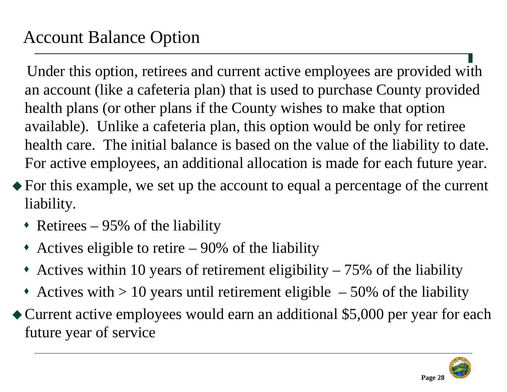### Account Balance Option

Under this option, retirees and current active employees are provided with an account (like a cafeteria plan) that is used to purchase County provided health plans (or other plans if the County wishes to make that option available). Unlike a cafeteria plan, this option would be only for retiree health care. The initial balance is based on the value of the liability to date. For active employees, an additional allocation is made for each future year.

- For this example, we set up the account to equal a percentage of the current liability.
	- Retirees 95% of the liability
	- Actives eligible to retire 90% of the liability
	- Actives within 10 years of retirement eligibility 75% of the liability
	- Actives with  $> 10$  years until retirement eligible  $-50\%$  of the liability
- Current active employees would earn an additional \$5,000 per year for each future year of service

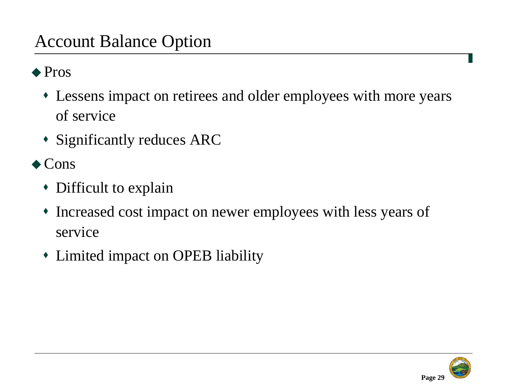#### Account Balance Option

#### ◆ Pros

- Lessens impact on retirees and older employees with more years of service
- Significantly reduces ARC
- $\triangle$  Cons
	- Difficult to explain
	- Increased cost impact on newer employees with less years of service
	- Limited impact on OPEB liability

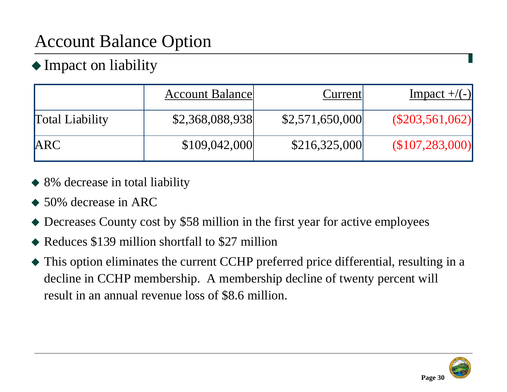## Account Balance Option

#### ◆ Impact on liability

|                        | <b>Account Balance</b> | Current         | Impact $+/(-)$   |
|------------------------|------------------------|-----------------|------------------|
| <b>Total Liability</b> | \$2,368,088,938        | \$2,571,650,000 | (S203, 561, 062) |
| <b>ARC</b>             | \$109,042,000          | \$216,325,000   | (\$107,283,000)  |

- 8% decrease in total liability
- ◆ 50% decrease in ARC
- Decreases County cost by \$58 million in the first year for active employees
- Reduces \$139 million shortfall to \$27 million
- This option eliminates the current CCHP preferred price differential, resulting in a decline in CCHP membership. A membership decline of twenty percent will result in an annual revenue loss of \$8.6 million.

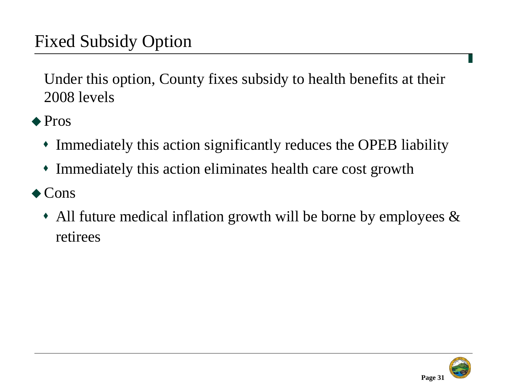### Fixed Subsidy Option

Under this option, County fixes subsidy to health benefits at their 2008 levels

- ◆ Pros
	- Immediately this action significantly reduces the OPEB liability
	- Immediately this action eliminates health care cost growth
- ◆ Cons
	- All future medical inflation growth will be borne by employees & retirees

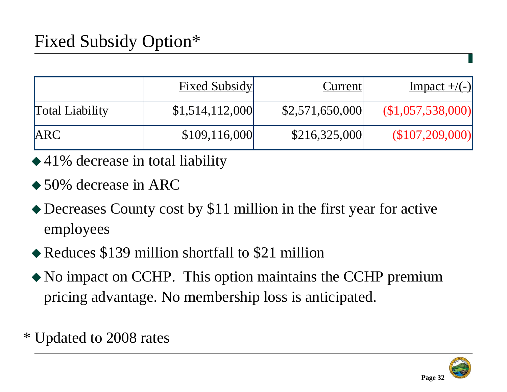|                        | <b>Fixed Subsidy</b> | Current         | Impact $+/(-)$   |
|------------------------|----------------------|-----------------|------------------|
| <b>Total Liability</b> | \$1,514,112,000      | \$2,571,650,000 | (S1,057,538,000) |
| <b>ARC</b>             | \$109,116,000        | \$216,325,000   | (S107, 209, 000) |

- ◆41% decrease in total liability
- ◆ 50% decrease in ARC
- Decreases County cost by \$11 million in the first year for active employees
- Reduces \$139 million shortfall to \$21 million
- No impact on CCHP. This option maintains the CCHP premium pricing advantage. No membership loss is anticipated.
- \* Updated to 2008 rates

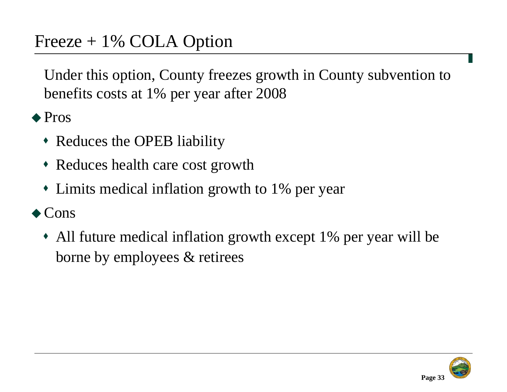Under this option, County freezes growth in County subvention to benefits costs at 1% per year after 2008

◆ Pros

- Reduces the OPEB liability
- Reduces health care cost growth
- Limits medical inflation growth to 1% per year

 $\triangle$  Cons

 All future medical inflation growth except 1% per year will be borne by employees & retirees

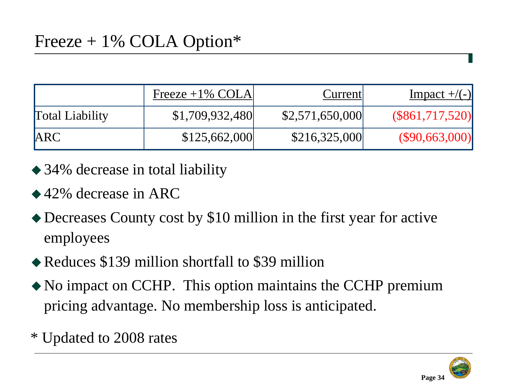|                        | Freeze $+1\%$ COLA | Current         | Impact $+/(-)$  |
|------------------------|--------------------|-----------------|-----------------|
| <b>Total Liability</b> | \$1,709,932,480    | \$2,571,650,000 | (S861,717,520)  |
| <b>IARC</b>            | \$125,662,000      | \$216,325,000   | (S90, 663, 000) |

- ◆ 34% decrease in total liability
- ◆ 42% decrease in ARC
- Decreases County cost by \$10 million in the first year for active employees
- Reduces \$139 million shortfall to \$39 million
- No impact on CCHP. This option maintains the CCHP premium pricing advantage. No membership loss is anticipated.
- \* Updated to 2008 rates

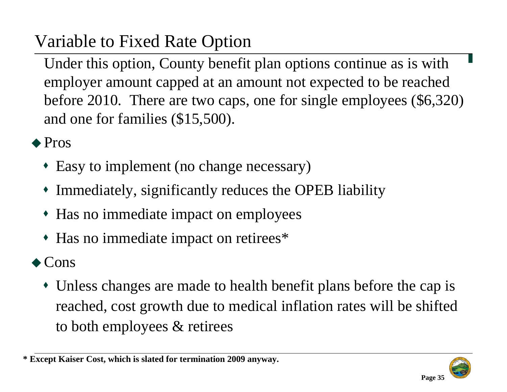## Variable to Fixed Rate Option

Under this option, County benefit plan options continue as is with employer amount capped at an amount not expected to be reached before 2010. There are two caps, one for single employees (\$6,320) and one for families (\$15,500).

◆ Pros

- Easy to implement (no change necessary)
- Immediately, significantly reduces the OPEB liability
- Has no immediate impact on employees
- Has no immediate impact on retirees\*

#### ◆ Cons

 Unless changes are made to health benefit plans before the cap is reached, cost growth due to medical inflation rates will be shifted to both employees & retirees



**<sup>\*</sup> Except Kaiser Cost, which is slated for termination 2009 anyway.**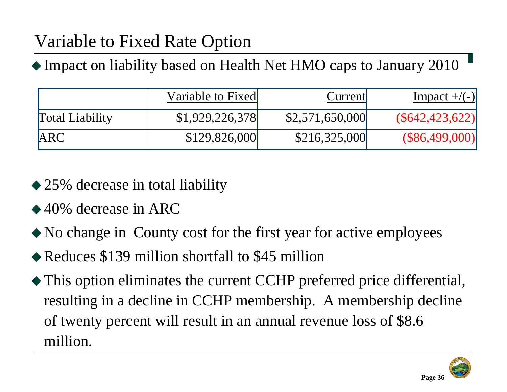## Variable to Fixed Rate Option

Impact on liability based on Health Net HMO caps to January 2010

|                        | Variable to Fixed | Current         | Impact $+/(-)$   |
|------------------------|-------------------|-----------------|------------------|
| <b>Total Liability</b> | \$1,929,226,378   | \$2,571,650,000 | (S642, 423, 622) |
| <b>ARC</b>             | \$129,826,000     | \$216,325,000   | (\$86,499,000)   |

- ◆ 25% decrease in total liability
- ◆ 40% decrease in ARC
- No change in County cost for the first year for active employees
- Reduces \$139 million shortfall to \$45 million
- This option eliminates the current CCHP preferred price differential, resulting in a decline in CCHP membership. A membership decline of twenty percent will result in an annual revenue loss of \$8.6 million.

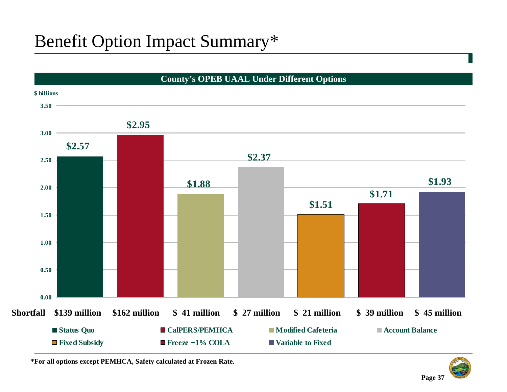### Benefit Option Impact Summary\*



**\*For all options except PEMHCA, Safety calculated at Frozen Rate.**



**Page 37**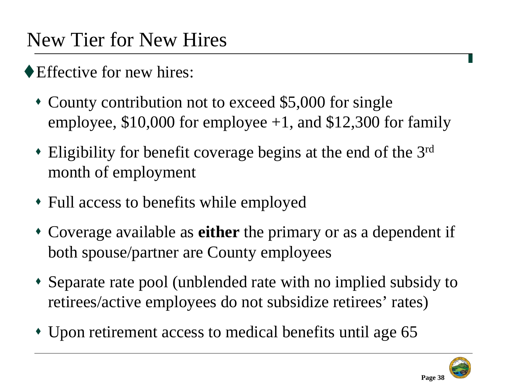## New Tier for New Hires

- ◆ Effective for new hires:
	- County contribution not to exceed \$5,000 for single employee,  $$10,000$  for employee  $+1$ , and  $$12,300$  for family
	- Eligibility for benefit coverage begins at the end of the 3rd month of employment
	- Full access to benefits while employed
	- Coverage available as **either** the primary or as a dependent if both spouse/partner are County employees
	- Separate rate pool (unblended rate with no implied subsidy to retirees/active employees do not subsidize retirees' rates)
	- Upon retirement access to medical benefits until age 65

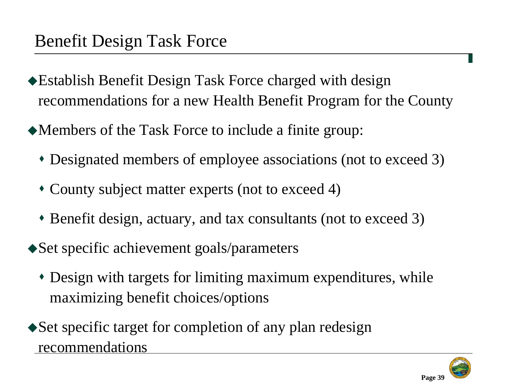- Establish Benefit Design Task Force charged with design recommendations for a new Health Benefit Program for the County
- Members of the Task Force to include a finite group:
	- Designated members of employee associations (not to exceed 3)
	- County subject matter experts (not to exceed 4)
	- Benefit design, actuary, and tax consultants (not to exceed 3)
- ◆ Set specific achievement goals/parameters
	- Design with targets for limiting maximum expenditures, while maximizing benefit choices/options
- Set specific target for completion of any plan redesign recommendations

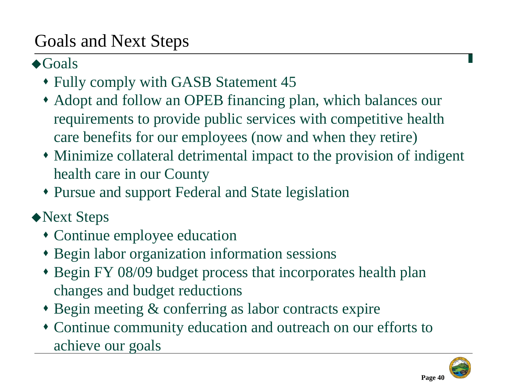### Goals and Next Steps

#### ◆Goals

- Fully comply with GASB Statement 45
- Adopt and follow an OPEB financing plan, which balances our requirements to provide public services with competitive health care benefits for our employees (now and when they retire)
- Minimize collateral detrimental impact to the provision of indigent health care in our County
- Pursue and support Federal and State legislation
- ◆Next Steps
	- Continue employee education
	- Begin labor organization information sessions
	- Begin FY 08/09 budget process that incorporates health plan changes and budget reductions
	- Begin meeting & conferring as labor contracts expire
	- Continue community education and outreach on our efforts to achieve our goals

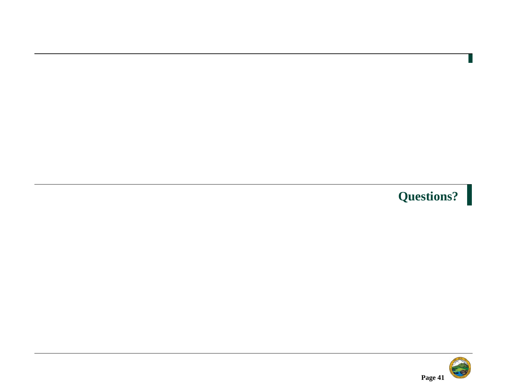## **Questions?**

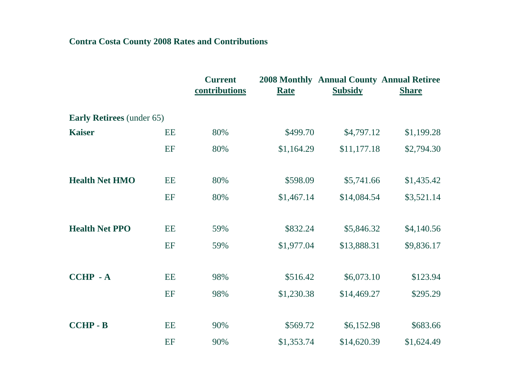#### **Contra Costa County 2008 Rates and Contributions**

|                                  |           | <b>Current</b><br>contributions | <b>Rate</b> | <b>2008 Monthly Annual County Annual Retiree</b><br><b>Subsidy</b> | <b>Share</b> |  |
|----------------------------------|-----------|---------------------------------|-------------|--------------------------------------------------------------------|--------------|--|
| <b>Early Retirees</b> (under 65) |           |                                 |             |                                                                    |              |  |
| <b>Kaiser</b>                    | EE        | 80%                             | \$499.70    | \$4,797.12                                                         | \$1,199.28   |  |
|                                  | EF        | 80%                             | \$1,164.29  | \$11,177.18                                                        | \$2,794.30   |  |
| <b>Health Net HMO</b>            | EE        | 80%                             | \$598.09    | \$5,741.66                                                         | \$1,435.42   |  |
|                                  | EF        | 80%                             | \$1,467.14  | \$14,084.54                                                        | \$3,521.14   |  |
| <b>Health Net PPO</b>            | <b>EE</b> | 59%                             | \$832.24    | \$5,846.32                                                         | \$4,140.56   |  |
|                                  | EF        | 59%                             | \$1,977.04  | \$13,888.31                                                        | \$9,836.17   |  |
| <b>CCHP - A</b>                  | <b>EE</b> | 98%                             | \$516.42    | \$6,073.10                                                         | \$123.94     |  |
|                                  | EF        | 98%                             | \$1,230.38  | \$14,469.27                                                        | \$295.29     |  |
| <b>CCHP - B</b>                  | EE        | 90%                             | \$569.72    | \$6,152.98                                                         | \$683.66     |  |
|                                  | EF        | 90%                             | \$1,353.74  | \$14,620.39                                                        | \$1,624.49   |  |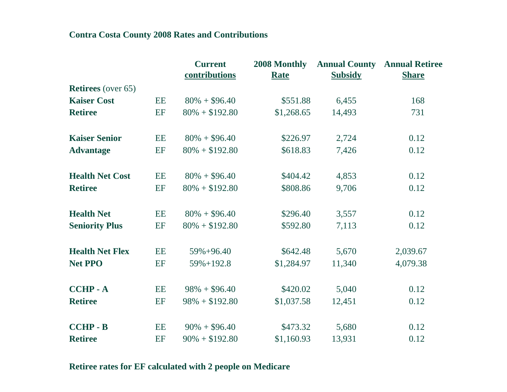#### **Contra Costa County 2008 Rates and Contributions**

|                           |           | <b>Current</b><br>contributions | 2008 Monthly<br><b>Rate</b> | <b>Subsidy</b> | <b>Annual County Annual Retiree</b><br><b>Share</b> |
|---------------------------|-----------|---------------------------------|-----------------------------|----------------|-----------------------------------------------------|
| <b>Retirees</b> (over 65) |           |                                 |                             |                |                                                     |
| <b>Kaiser Cost</b>        | EE        | $80\% + $96.40$                 | \$551.88                    | 6,455          | 168                                                 |
| <b>Retiree</b>            | EF        | $80\% + $192.80$                | \$1,268.65                  | 14,493         | 731                                                 |
| <b>Kaiser Senior</b>      | EE        | $80\% + $96.40$                 | \$226.97                    | 2,724          | 0.12                                                |
| <b>Advantage</b>          | EF        | $80\% + $192.80$                | \$618.83                    | 7,426          | 0.12                                                |
| <b>Health Net Cost</b>    | EE        | $80\% + $96.40$                 | \$404.42                    | 4,853          | 0.12                                                |
| <b>Retiree</b>            | EF        | $80\% + $192.80$                | \$808.86                    | 9,706          | 0.12                                                |
| <b>Health Net</b>         | EE        | $80\% + $96.40$                 | \$296.40                    | 3,557          | 0.12                                                |
| <b>Seniority Plus</b>     | EF        | $80\% + $192.80$                | \$592.80                    | 7,113          | 0.12                                                |
| <b>Health Net Flex</b>    | EE        | $59\% + 96.40$                  | \$642.48                    | 5,670          | 2,039.67                                            |
| <b>Net PPO</b>            | EF        | $59\% + 192.8$                  | \$1,284.97                  | 11,340         | 4,079.38                                            |
| <b>CCHP - A</b>           | EE        | $98\% + $96.40$                 | \$420.02                    | 5,040          | 0.12                                                |
| <b>Retiree</b>            | EF        | $98\% + $192.80$                | \$1,037.58                  | 12,451         | 0.12                                                |
| <b>CCHP - B</b>           | <b>EE</b> | $90\% + $96.40$                 | \$473.32                    | 5,680          | 0.12                                                |
| <b>Retiree</b>            | EF        | $90\% + $192.80$                | \$1,160.93                  | 13,931         | 0.12                                                |

#### **Retiree rates for EF calculated with 2 people on Medicare**